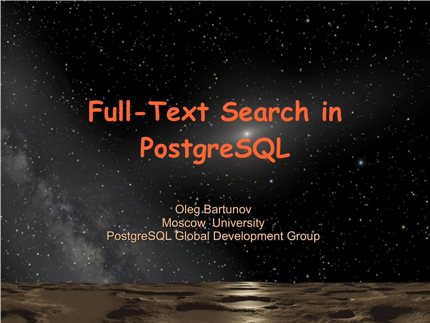# **Full-Text Search in PostgreSQL**

Oleg Bartunov Moscow University PostgreSQL Global Development Group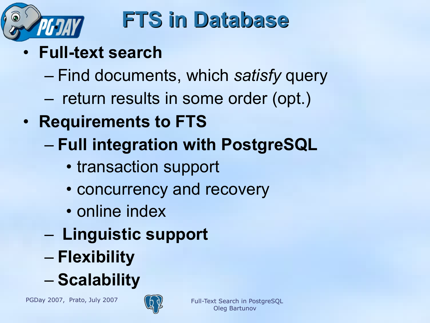

### **FTS in Database**

- **Full-text search**
	- Find documents, which *satisfy* query
	- return results in some order (opt.)
- **Requirements to FTS**
	- **Full integration with PostgreSQL**
		- transaction support
		- concurrency and recovery
		- online index
	- **Linguistic support**
	- **Flexibility**
	- **Scalability**

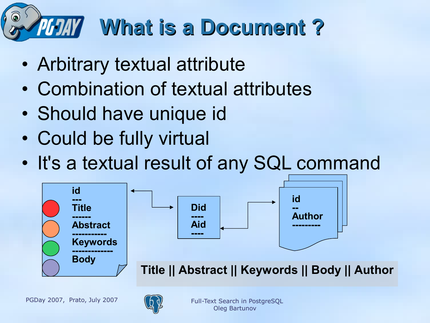# **What is a Document?**

- Arbitrary textual attribute
- Combination of textual attributes
- Should have unique id
- Could be fully virtual
- It's a textual result of any SQL command



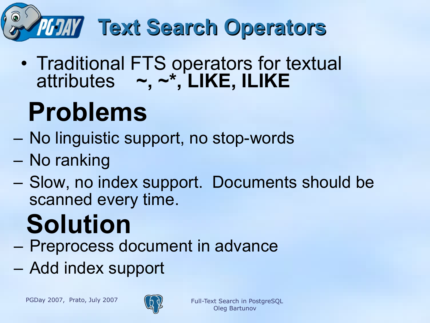

• Traditional FTS operators for textual attributes **~, ~\*, LIKE, ILIKE**

# **Problems**

- No linguistic support, no stop-words
- No ranking
- Slow, no index support. Documents should be scanned every time.

# **Solution**

- Preprocess document in advance
- Add index support

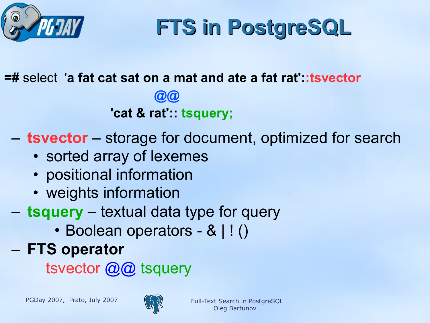

**FTS in PostgreSQL**

**=#** select'**a fat cat sat on a mat and ate a fat rat'::tsvector**

 **@@**

 **'cat & rat':: tsquery;**

- **tsvector** storage for document, optimized for search
	- sorted array of lexemes
	- positional information
	- weights information
- **tsquery** textual data type for query
	- Boolean operators & | ! ()
- **FTS operator**

tsvector @@ tsquery

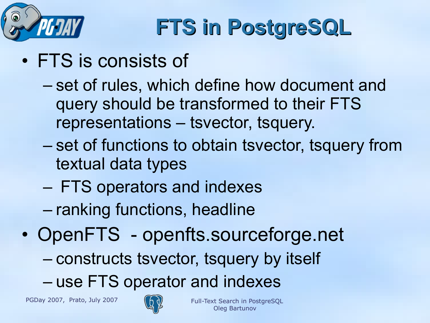

# **FTS in PostgreSQL**

- FTS is consists of
	- set of rules, which define how document and query should be transformed to their FTS representations – tsvector, tsquery.
	- set of functions to obtain tsvector, tsquery from textual data types
	- FTS operators and indexes
	- ranking functions, headline
- OpenFTS openfts.sourceforge.net
	- constructs tsvector, tsquery by itself
	- use FTS operator and indexes

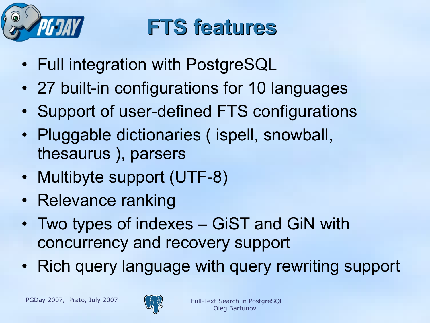

### **FTS features**

- Full integration with PostgreSQL
- 27 built-in configurations for 10 languages
- Support of user-defined FTS configurations
- Pluggable dictionaries (ispell, snowball, thesaurus ), parsers
- Multibyte support (UTF-8)
- Relevance ranking
- Two types of indexes GiST and GiN with concurrency and recovery support
- Rich query language with query rewriting support

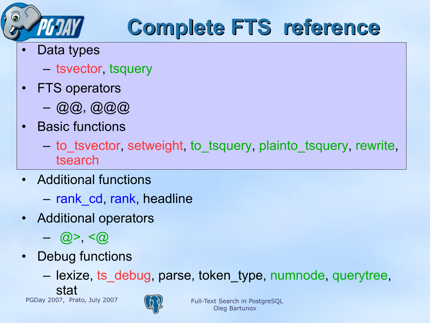

## **Complete FTS reference**

- Data types
	- tsvector, tsquery
- FTS operators
	- @@, @@@
- Basic functions
	- to\_tsvector, setweight, to\_tsquery, plainto\_tsquery, rewrite, tsearch
- Additional functions
	- rank\_cd, rank, headline
- Additional operators
	- $-$  (a) >  $\leq$   $\alpha$
- Debug functions
	- lexize, ts\_debug, parse, token\_type, numnode, querytree, stat

PGDay 2007, Prato, July 2007  $(A_0)$  Full-Text Search in PostgreSQL

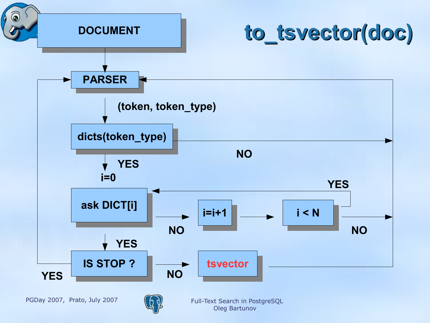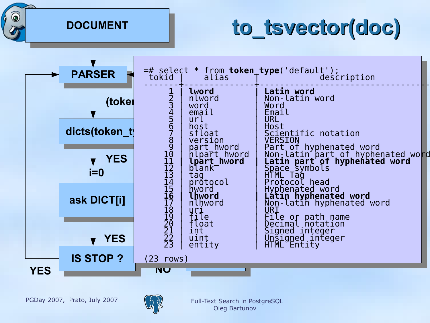**DOCUMENT**

 $\circ$ 

### **to\_tsvector(doc)**



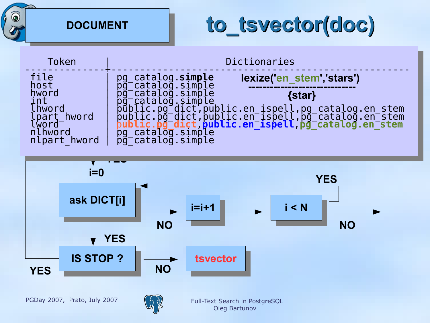**DOCUMENT**

### **to\_tsvector(doc)**



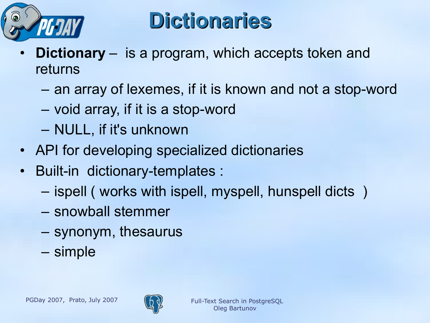

### **Dictionaries**

- **Dictionary** is a program, which accepts token and returns
	- an array of lexemes, if it is known and not a stop-word
	- void array, if it is a stop-word
	- NULL, if it's unknown
- API for developing specialized dictionaries
- Built-in dictionary-templates :
	- ispell ( works with ispell, myspell, hunspell dicts )
	- snowball stemmer
	- synonym, thesaurus
	- simple

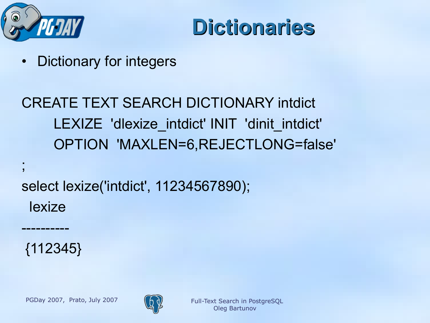



Dictionary for integers

### CREATE TEXT SEARCH DICTIONARY intdict LEXIZE 'dlexize intdict' INIT 'dinit intdict' OPTION 'MAXLEN=6,REJECTLONG=false'

select lexize('intdict', 11234567890); lexize

{112345}

----------

;

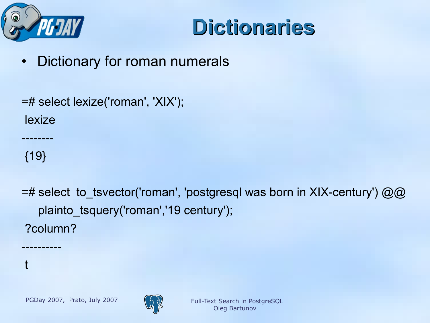



Dictionary for roman numerals

=# select lexize('roman', 'XIX'); lexize

{19}

----------

t

--------

=# select to\_tsvector('roman', 'postgresql was born in XIX-century')  $@@$  plainto\_tsquery('roman','19 century'); ?column?

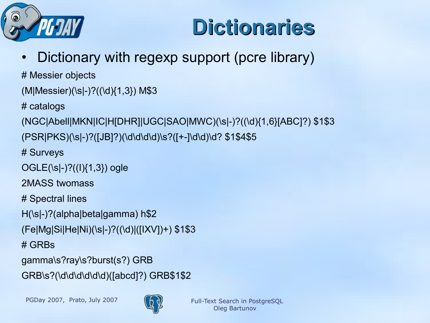

### **Dictionaries**

• Dictionary with regexp support (pcre library)

# Messier objects

(M|Messier)(\s|-)?((\d){1,3}) M\$3

# catalogs

(NGC|Abell|MKN|IC|H[DHR]|UGC|SAO|MWC)(\s|-)?((\d){1,6}[ABC]?) \$1\$3

(PSR|PKS)(\s|-)?([JB]?)(\d\d\d\d)\s?([+-]\d\d)\d? \$1\$4\$5

# Surveys

OGLE(\s|-)?((I){1,3}) ogle

2MASS twomass

# Spectral lines

H(\s|-)?(alpha|beta|gamma) h\$2

(Fe|Mg|Si|He|Ni)(\s|-)?((\d)|([IXV])+) \$1\$3

# GRBs

gamma\s?ray\s?burst(s?) GRB GRB\s?(\d\d\d\d\d\d)([abcd]?) GRB\$1\$2

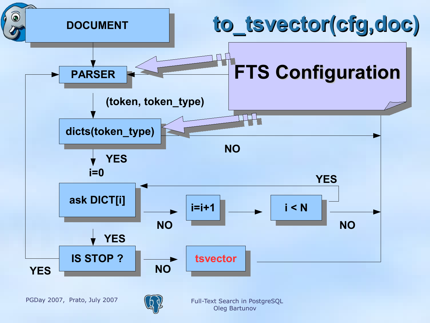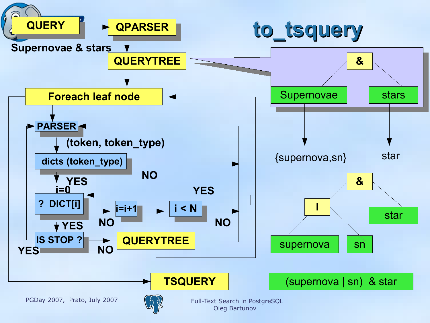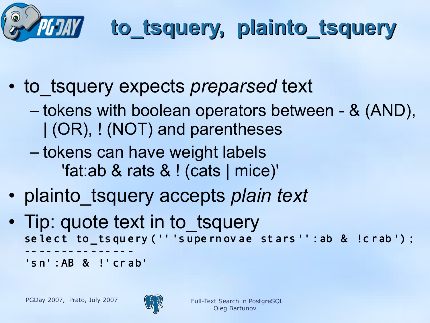

# **to\_tsquery, plainto\_tsquery**

- to tsquery expects *preparsed* text
	- tokens with boolean operators between & (AND), | (OR), ! (NOT) and parentheses
	- tokens can have weight labels 'fat:ab & rats & ! (cats | mice)'
- plainto\_tsquery accepts *plain text*
- Tip: quote text in to tsquery se lect to\_ts query ('' 's upe rn ov ae st ars '' : ab & !crab ') ; -- -- --- -- --- -- - 's n' :AB & !' cr ab'

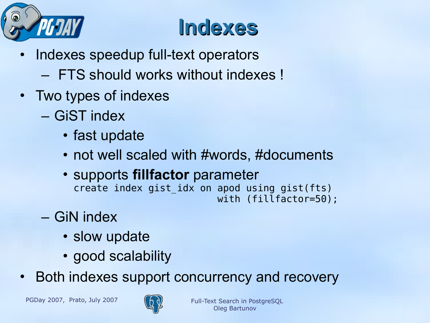

### **Indexes**

- Indexes speedup full-text operators
	- FTS should works without indexes !
- Two types of indexes
	- GiST index
		- fast update
		- not well scaled with #words, #documents
		- supports **fillfactor** parameter create index gist idx on apod using gist(fts) with (fillfactor=50);
	- GiN index
		- slow update
		- good scalability
- Both indexes support concurrency and recovery

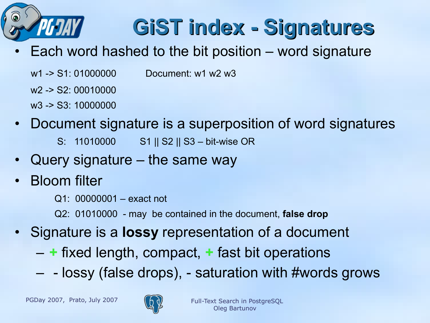

## **GiST index - Signatures**

- Each word hashed to the bit position word signature
	- w1 -> S1: 01000000 Document: w1 w2 w3
	- w2 -> S2: 00010000
	- w3 -> S3: 10000000
- Document signature is a superposition of word signatures
	- S: 11010000 S1 || S2 || S3 bit-wise OR
- Query signature the same way
- Bloom filter
	- Q1: 00000001 exact not
	- Q2: 01010000 may be contained in the document, **false drop**
- Signature is a **lossy** representation of a document
	- **+** fixed length, compact, **+** fast bit operations
	- - lossy (false drops), saturation with #words grows

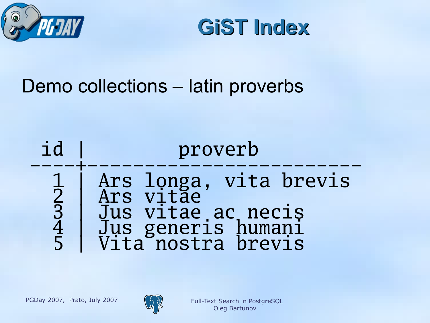



### Demo collections – latin proverbs



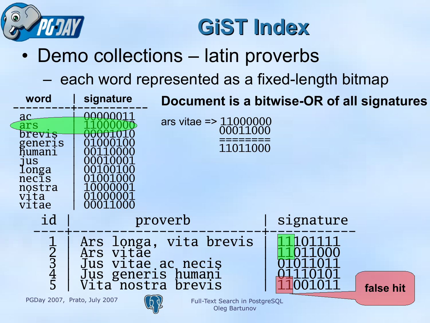

### **GiST Index**

### • Demo collections – latin proverbs

### – each word represented as a fixed-length bitmap

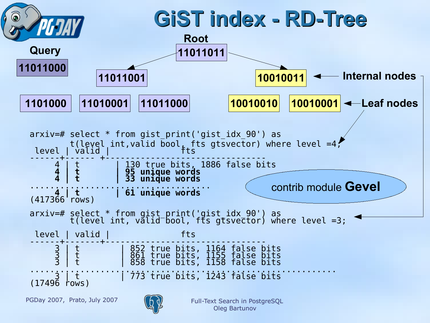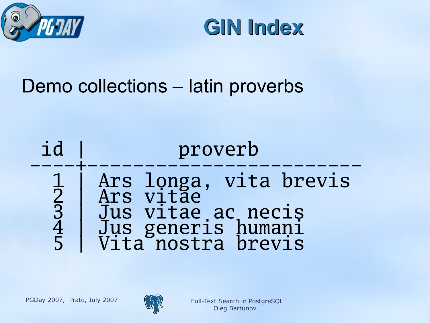



### Demo collections – latin proverbs



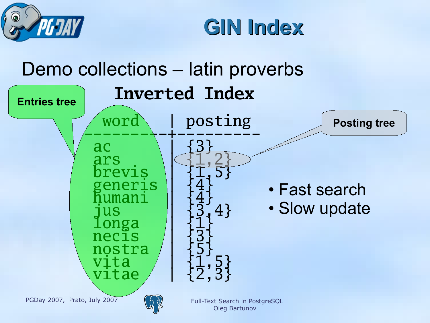



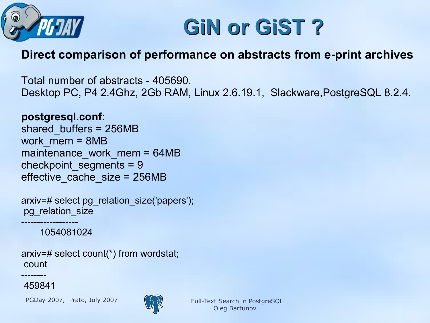



#### **Direct comparison of performance on abstracts from e-print archives**

Total number of abstracts - 405690. Desktop PC, P4 2.4Ghz, 2Gb RAM, Linux 2.6.19.1, Slackware,PostgreSQL 8.2.4.

#### **postgresql.conf:**

shared\_buffers = 256MB work\_mem = 8MB maintenance work mem = 64MB checkpoint\_segments = 9 effective\_cache\_size = 256MB

arxiv=# select pg\_relation\_size('papers'); pg\_relation\_size ------------------

1054081024

arxiv=# select count(\*) from wordstat; count

459841

--------

PGDay 2007, Prato, July 2007 (6)

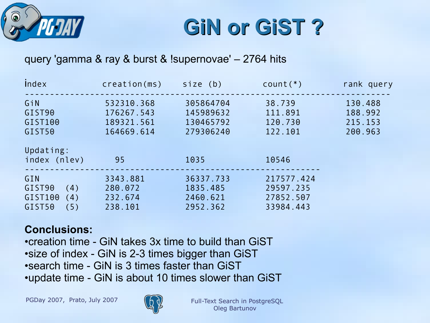

**GiN or GiST ?**

#### query 'gamma & ray & burst & !supernovae' – 2764 hits

| Index                                                   | creation(ms)                                         | $size$ (b)                                       | $count(*)$                                        | rank query                               |
|---------------------------------------------------------|------------------------------------------------------|--------------------------------------------------|---------------------------------------------------|------------------------------------------|
| GiN<br>GIST <sub>90</sub><br>GIST100<br>GIST50          | 532310.368<br>176267.543<br>189321.561<br>164669.614 | 305864704<br>145989632<br>130465792<br>279306240 | 38.739<br>111.891<br>120.730<br>122.101           | 130.488<br>188.992<br>215.153<br>200.963 |
| Updating:<br>index (nlev)                               | 95                                                   | 1035                                             | 10546                                             |                                          |
| GIN<br>GIST90<br>(4)<br>GIST100<br>(4)<br>GIST50<br>(5) | 3343.881<br>280.072<br>232.674<br>238.101            | 36337.733<br>1835.485<br>2460.621<br>2952.362    | 217577.424<br>29597.235<br>27852.507<br>33984.443 |                                          |

#### **Conclusions:**

•creation time - GiN takes 3x time to build than GiST •size of index - GiN is 2-3 times bigger than GiST •search time - GiN is 3 times faster than GiST •update time - GiN is about 10 times slower than GiST

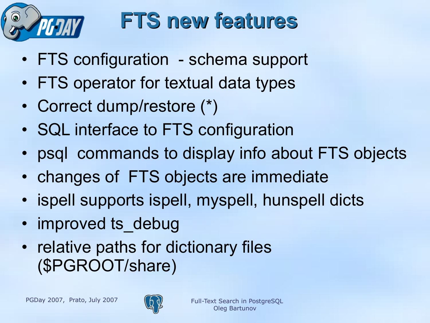

### **FTS new features**

- FTS configuration schema support
- FTS operator for textual data types
- Correct dump/restore (\*)
- SQL interface to FTS configuration
- psql commands to display info about FTS objects
- changes of FTS objects are immediate
- ispell supports ispell, myspell, hunspell dicts
- improved ts\_debug
- relative paths for dictionary files (\$PGROOT/share)

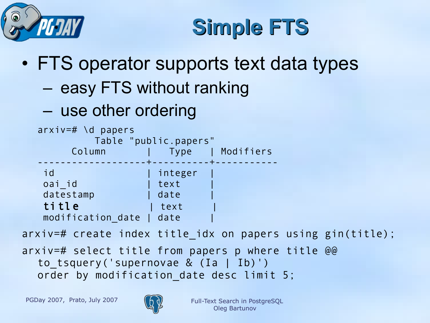



### • FTS operator supports text data types

### – easy FTS without ranking

### – use other ordering



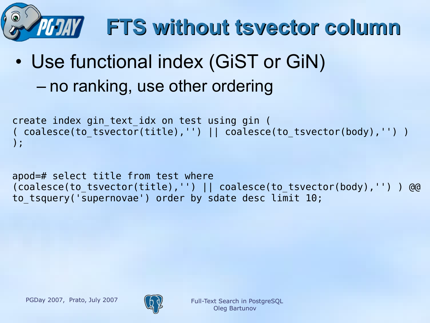

# **FTS without tsvector column**

• Use functional index (GiST or GiN) – no ranking, use other ordering

```
create index gin_text_idx on test using gin (
 coalesce(to tsvector(title),'') || coalesce(to tsvector(body),'') )
);
```

```
apod=# select title from test where 
(coalesce(to_tsvector(title),'') || coalesce(to_tsvector(body),'') ) @@ 
to tsquery('supernovae') order by sdate desc limit 10;
```
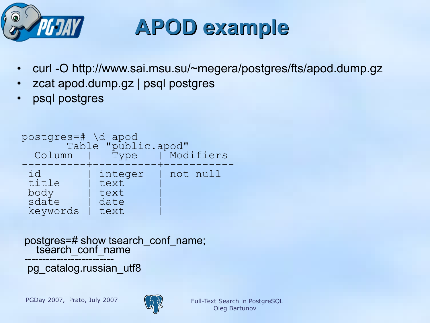

- curl -O http://www.sai.msu.su/~megera/postgres/fts/apod.dump.gz
- zcat apod.dump.gz | psql postgres
- psql postgres

```
postgres=# \d apod
Table "public.apod"
 Column | Type | Modifiers 
----------+----------+-----------
 id | integer | not null<br>title | text |
 title | text<br>body | text
 body | text<br>| sdate | date
 sdate
 keywords | text
```
postgres=# show tsearch\_conf\_name; tsearch\_conf\_name

------------------------ pg\_catalog.russian\_utf8

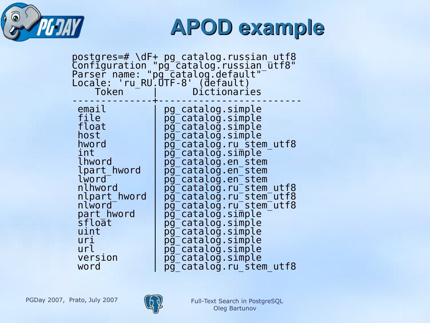

| postgres=# \dF+ pg_catalog.russian_utf8<br>Configuration "pg_catalog.russian_utf8"<br>Parser name: "pg_catalog.default"<br>Locale: 'ru_RU.UTF-8' (default)<br>Dictionaries<br>Token                                                                                                                                                                                                                                                                                                                                                                                                                                                                                                                                                                                                                                                                                                                                                               |  |
|---------------------------------------------------------------------------------------------------------------------------------------------------------------------------------------------------------------------------------------------------------------------------------------------------------------------------------------------------------------------------------------------------------------------------------------------------------------------------------------------------------------------------------------------------------------------------------------------------------------------------------------------------------------------------------------------------------------------------------------------------------------------------------------------------------------------------------------------------------------------------------------------------------------------------------------------------|--|
| email<br>pg catalog.simple<br>pg <sup>-</sup> catalog.simple<br>file<br>pg <sup>-</sup> catalog.simple<br>float<br>pg <sup>-</sup> catalog.simple<br>host<br>pg <sup>-</sup> catalog.ru stem utf8<br>hword<br>pg <sup>-</sup> catalog.simple<br>int<br>pg <sup>-</sup> catalog.en stem<br>lhword<br>pg <sup>-</sup> catalog.en <sup>-</sup> stem<br>lpart hword<br>pg <sup>-</sup> catalog.en <sup>-</sup> stem<br>lword <sup>-</sup><br>nlhword<br>pg <sup>-</sup> catalog.ru <sup>-</sup> stem utf8<br>pg <sup>-</sup> catalog.ru <sup>-</sup> stem <sup>-</sup> utf8<br>nlpart hword<br>nlword <sup>-</sup><br>pg_catalog.ru_stem_utf8<br>pq <sup>-</sup> catalog.simple<br>part hword<br>sfloāt<br>pg <sup>-</sup> catalog.simple<br>pg <sup>-</sup> catalog.simple<br>uint<br>pg <sup>-</sup> catalog.simple<br>uri<br>pg_catalog.simple<br>url<br>pg <sup>-</sup> catalog.simple<br>version<br>pg <sup>-</sup> catalog.ru stem utf8<br>word |  |

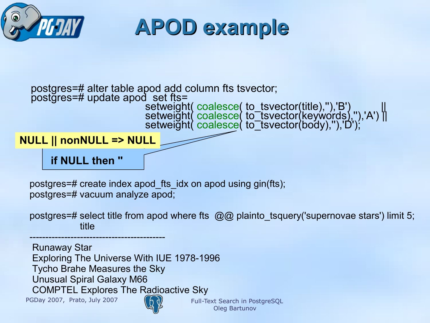

postgres=# alter table apod add column fts tsvector; postgres=# update apod set fts=

setweight( coalesce( to\_tsvector(title),"),'B') with a line of setweight( coalesce( to\_tsvector(title),"),'B') setweight( coalesce( to\_tsvector(keywords),''),'A') || setweight( coalesce( to\_tsvector(body),"),'D');

**NULL || nonNULL => NULL**

**if NULL then ''**

postgres=# create index apod\_fts\_idx on apod using gin(fts); postgres=# vacuum analyze apod;

postgres=# select title from apod where fts @@ plainto\_tsquery('supernovae stars') limit 5; title

PGDay 2007, Prato, July 2007 (A) Full-Text Search in PostgreSQL ------------------------------------------- Runaway Star Exploring The Universe With IUE 1978-1996 Tycho Brahe Measures the Sky Unusual Spiral Galaxy M66 COMPTEL Explores The Radioactive Sky



Oleg Bartunov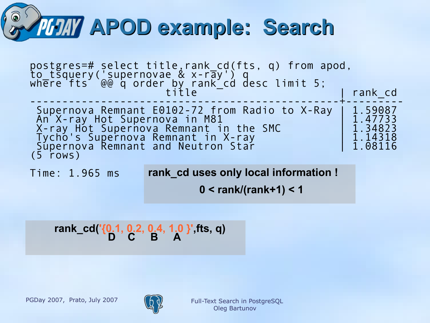

| postgres=# select title,rank_cd(fts, q) from apod,<br>to_tsquery('supernovae & x-ray') q<br>where fts @@ q order_by_rank_cd desc limit 5;                                                                           | rank cd                                             |
|---------------------------------------------------------------------------------------------------------------------------------------------------------------------------------------------------------------------|-----------------------------------------------------|
| Supernova Remnant E0102-72 from Radio to X-Ray<br>An X-ray Hot Supernova in M81<br>X-ray Hot Supernova Remnant in the SMC<br>Tycho's Supernova Remnant in X-ray<br>Supernova Remnant and Neutron Star<br>$(5$ rows) | 1.59087<br>1.47733<br>1.34823<br>1.14318<br>1.08116 |

Time: 1.965 ms **rank\_cd uses only local information !**

 **0 < rank/(rank+1) < 1**

#### **rank\_cd('{0.1, 0.2, 0.4, 1.0 }',fts, q) D** C B A

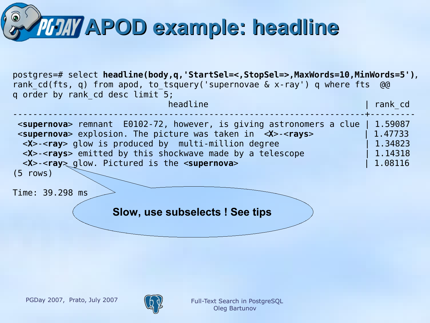

postgres=# select **headline(body,q,'StartSel=<,StopSel=>,MaxWords=10,MinWords=5')**, rank cd(fts, q) from apod, to tsquery('supernovae & x-ray') q where fts @@ q order by rank\_cd desc limit 5; headline | rank\_cd | rank\_cd | rank\_cd | rank\_cd | rank\_cd | rank\_cd | rank\_cd | rank\_cd | rank\_cd | rank\_cd | ----------------------------------------------------------------------+--------- <**supernova**> remnant E0102-72, however, is giving astronomers a clue | 1.59087 <**supernova**> explosion. The picture was taken in <**X**>-<**rays**> | 1.47733 <**X**>-<**ray**> glow is produced by multi-million degree | 1.34823 <**X**>-<**rays**> emitted by this shockwave made by a telescope | 1.14318 <**X**>-<**ray**> glow. Pictured is the <**supernova**> | 1.08116 (5 rows) Time: 39.298 ms **Slow, use subselects ! See tips** 

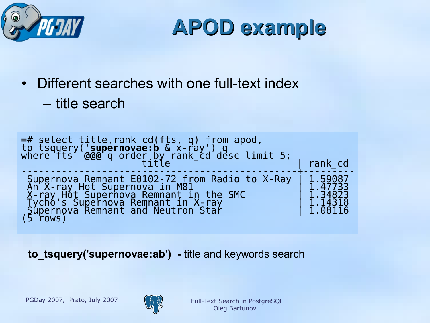

- Different searches with one full-text index
	- title search

```
=# select title,rank_cd(fts, q) from apod, 
to_tsquery('supernovae:b & x-ray') q 
where fts @@@ q order by rank_cd desc limit 5;
\begin{array}{ccc} \texttt{title} & - \end{array} | rank_cd
------------------------------------------------+---------
Supernova Remnant E0102-72 from Radio to X-Ray | 1.59087
An X-ray Hot Supernova in M81 | 2006 | 1.47733
X-ray Hot Supernova Remnant in the SMC | 1.34823
Tycho's Supernova Remnant in X-ray | 1.14318
Supernova Remnant and Neutron Star | 1.08116
(5 rows)
```
**to\_tsquery('supernovae:ab') -** title and keywords search

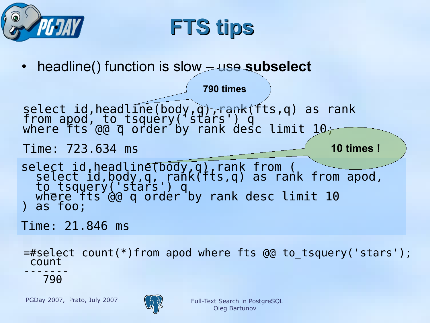



**790 times** 

• headline() function is slow – use **subselect**

select id,headline(body,q)<del>,rank</del>(fts,q) as rank from apod, to tsquery('stars') q where fts @@ q order by rank desc limit 10;

#### Time: 723.634 ms

**10 times !**

select id,headline(body,q),rank from ( select id,body,q, rank(fts,q) as rank from apod, to tsquerý('stárs') q where fts @@ q order by rank desc limit 10 ) as foo;

Time: 21.846 ms

=#select count(\*)from apod where fts @@ to\_tsquery('stars'); count

------- 790

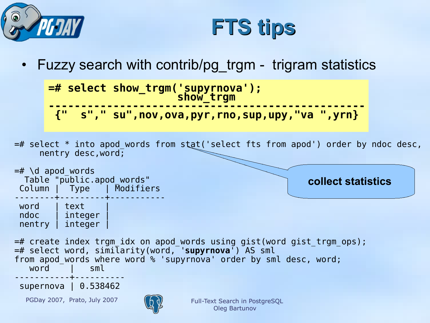



Fuzzy search with contrib/pg trgm - trigram statistics

```
=# select show_trgm('supyrnova');
 show_trgm \sim show_trgm
-------------------------------------------------
{" s"," su",nov,ova,pyr,rno,sup,upy,"va ",yrn}
```
=# select \* into apod\_words from stat('select fts from apod') order by ndoc desc, nentry desc,word;

```
=\# \d apod words
 Table "public.apod words"
Column | Type | Modifiers 
--------+---------+-----------
word I text
ndoc | integer | 
nentry | integer
=# create index trgm_idx on apod_words using gist(word gist_trgm_ops);
=# select word, similarity(word, 'supyrnova') AS sml 
from apod words where word % 'supyrnova' order by sml desc, word;
  word | sml
-----------+----------
supernova | 0.538462
                                                           collect statistics
```
PGDay 2007, Prato, July 2007  $(A, A)$  Full-Text Search in PostgreSQL

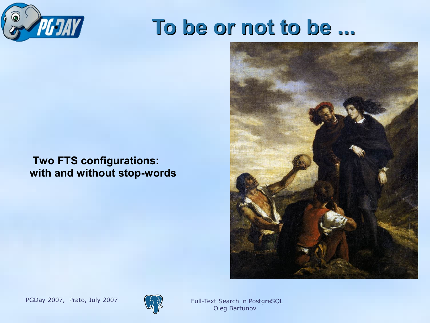

### **To be or not to be ...**

#### **Two FTS configurations: with and without stop-words**





Oleg Bartunov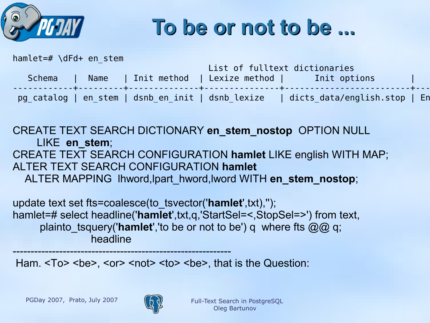

### **To be or not to be ...**

| hamlet=# \dFd+ en stem |      |               |                               |                                                                                  |  |
|------------------------|------|---------------|-------------------------------|----------------------------------------------------------------------------------|--|
|                        |      |               | List of fulltext dictionaries |                                                                                  |  |
| Schema                 | Name | l Init method | Lexize method                 | <b>Example 1</b> Init options                                                    |  |
|                        |      |               |                               | pg catalog   en stem   dsnb en init   dsnb lexize   dicts data/english.stop   En |  |

CREATE TEXT SEARCH DICTIONARY **en\_stem\_nostop** OPTION NULL LIKE **en\_stem**; CREATE TEXT SEARCH CONFIGURATION **hamlet** LIKE english WITH MAP; ALTER TEXT SEARCH CONFIGURATION **hamlet** ALTER MAPPING lhword,lpart\_hword,lword WITH **en\_stem\_nostop**;

update text set fts=coalesce(to\_tsvector('**hamlet**',txt),''); hamlet=# select headline('**hamlet**',txt,q,'StartSel=<,StopSel=>') from text, plainto tsquery('**hamlet**','to be or not to be') q where fts @@ q; headline

Ham. <To> <br/>>be>, <or> <not> <to> <br/>>be>, that is the Question:



-------------------------------------------------------------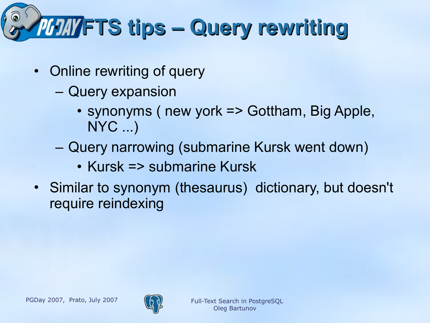# **FTS tips – Query rewriting**

- Online rewriting of query
	- Query expansion
		- synonyms (new york => Gottham, Big Apple, NYC ...)
	- Query narrowing (submarine Kursk went down)
		- Kursk => submarine Kursk
- Similar to synonym (thesaurus) dictionary, but doesn't require reindexing

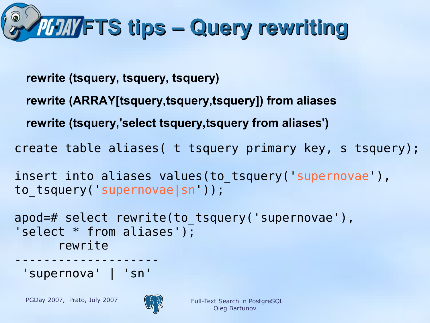

- **rewrite (tsquery, tsquery, tsquery)**
- **rewrite (ARRAY[tsquery,tsquery,tsquery]) from aliases**
- **rewrite (tsquery,'select tsquery,tsquery from aliases')**
- create table aliases( t tsquery primary key, s tsquery);
- insert into aliases values(to tsquery( supernovae'), to tsquery('supernovae|sn'));

```
apod=# select rewrite(to tsquery('supernovae'),
'select * from aliases');
      rewrite
```
-------------------- 'supernova' | 'sn'

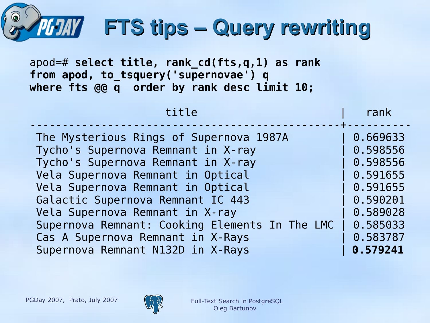| FTS tips - Query rewriting<br>$apod = #$ select title, rank cd(fts,q,1) as rank<br>from apod, to tsquery('supernovae') q<br>where fts @@ q order by rank desc limit 10;                                                                                                                                                                                                                           |                                                                                                                      |  |  |  |
|---------------------------------------------------------------------------------------------------------------------------------------------------------------------------------------------------------------------------------------------------------------------------------------------------------------------------------------------------------------------------------------------------|----------------------------------------------------------------------------------------------------------------------|--|--|--|
| title                                                                                                                                                                                                                                                                                                                                                                                             | rank                                                                                                                 |  |  |  |
| The Mysterious Rings of Supernova 1987A<br>Tycho's Supernova Remnant in X-ray<br>Tycho's Supernova Remnant in X-ray<br>Vela Supernova Remnant in Optical<br>Vela Supernova Remnant in Optical<br>Galactic Supernova Remnant IC 443<br>Vela Supernova Remnant in X-ray<br>Supernova Remnant: Cooking Elements In The LMC<br>Cas A Supernova Remnant in X-Rays<br>Supernova Remnant N132D in X-Rays | 0.669633<br>0.598556<br>0.598556<br>0.591655<br>0.591655<br>0.590201<br>0.589028<br>0.585033<br>0.583787<br>0.579241 |  |  |  |

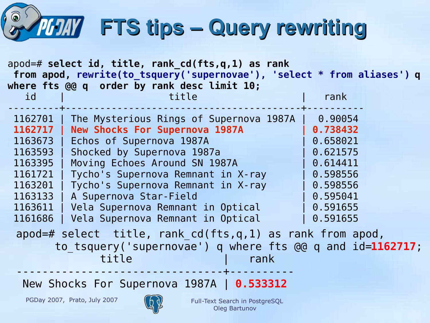# **FTS tips – Query rewriting**

| $apod = #$ select id, title, rank cd(fts,q,1) as rank<br>from apod, rewrite(to tsquery('supernovae'), 'select * from aliases') q<br>where fts @@ q order by rank desc limit 10;                                                                                                                                                                                                                                                                                            |                                                                                                                     |  |  |  |
|----------------------------------------------------------------------------------------------------------------------------------------------------------------------------------------------------------------------------------------------------------------------------------------------------------------------------------------------------------------------------------------------------------------------------------------------------------------------------|---------------------------------------------------------------------------------------------------------------------|--|--|--|
| title<br>id                                                                                                                                                                                                                                                                                                                                                                                                                                                                | rank                                                                                                                |  |  |  |
| 1162701<br>The Mysterious Rings of Supernova 1987A<br><b>New Shocks For Supernova 1987A</b><br>1162717<br>Echos of Supernova 1987A<br>1163673<br>Shocked by Supernova 1987a<br>1163593<br>Moving Echoes Around SN 1987A<br>1163395<br>1161721<br>Tycho's Supernova Remnant in X-ray<br>1163201   Tycho's Supernova Remnant in X-ray<br>1163133<br>  A Supernova Star-Field<br>1163611<br>Vela Supernova Remnant in Optical<br>1161686<br>Vela Supernova Remnant in Optical | 0.90054<br>0.738432<br>0.658021<br>0.621575<br>0.614411<br>0.598556<br>0.598556<br>0.595041<br>0.591655<br>0.591655 |  |  |  |
| $apod = # select title, rank cd(fts,q,1) as rank from apod,$<br>to tsquery ('supernovae') q where fts @@ q and id=1162717;<br>title<br>rank                                                                                                                                                                                                                                                                                                                                |                                                                                                                     |  |  |  |

New Shocks For Supernova 1987A | **0.533312**

PGDay 2007, Prato, July 2007  $(A_0)$  Full-Text Search in PostgreSQL

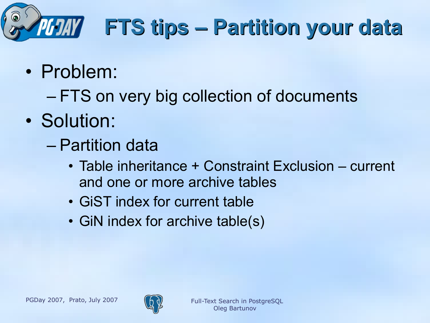

## **FTS tips – Partition your data**

- Problem:
	- FTS on very big collection of documents
- Solution:
	- Partition data
		- Table inheritance + Constraint Exclusion current and one or more archive tables
		- GiST index for current table
		- GiN index for archive table(s)

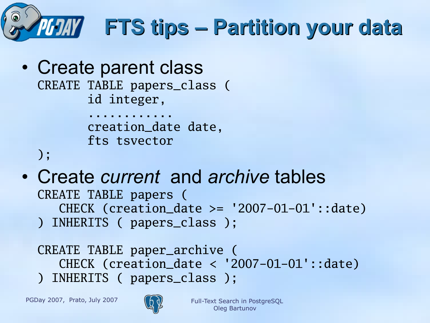

• Create parent class CREATE TABLE papers\_class ( id integer, ............

 creation\_date date, fts tsvector

```
);
```
• Create *current* and *archive* tables CREATE TABLE papers ( CHECK (creation\_date >= '2007-01-01'::date) ) INHERITS ( papers\_class );

CREATE TABLE paper\_archive ( CHECK (creation\_date < '2007-01-01'::date) ) INHERITS ( papers\_class );

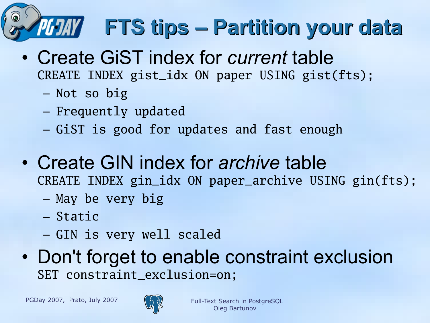

- Create GiST index for *current* table CREATE INDEX gist\_idx ON paper USING gist(fts);
	- Not so big
	- Frequently updated
	- GiST is good for updates and fast enough
- Create GIN index for *archive* table CREATE INDEX gin\_idx ON paper\_archive USING gin(fts);
	- May be very big
	- Static
	- GIN is very well scaled
- Don't forget to enable constraint exclusion SET constraint\_exclusion=on;

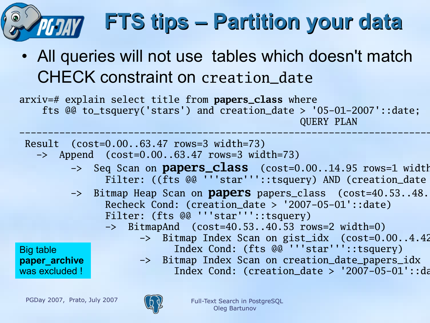

# **FTS tips – Partition your data**

• All queries will not use tables which doesn't match CHECK constraint on creation\_date

arxiv=# explain select title from **papers\_class** where fts @@ to\_tsquery('stars') and creation\_date > '05-01-2007'::date; QUERY PLAN

------------------------------------------------------------------------------------------------------------- Result (cost=0.00..63.47 rows=3 width=73) -> Append (cost=0.00..63.47 rows=3 width=73)

- -> Seq Scan on **papers\_class** (cost=0.00..14.95 rows=1 width Filter: ((fts @@ '''star'''::tsquery) AND (creation\_date
- -> Bitmap Heap Scan on **papers** papers\_class (cost=40.53..48. Recheck Cond: (creation\_date > '2007-05-01'::date) Filter: (fts @@ '''star'''::tsquery)
	- -> BitmapAnd (cost=40.53..40.53 rows=2 width=0)

Big table **paper\_archive**  was excluded !

- -> Bitmap Index Scan on gist\_idx (cost=0.00..4.42 Index Cond: (fts @@ '''star'''::tsquery) -> Bitmap Index Scan on creation\_date\_papers\_idx
	- Index Cond: (creation\_date >  $'2007-05-01'$ ::date

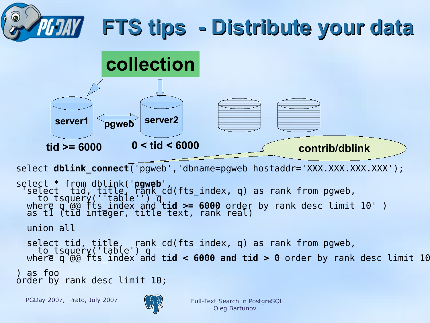



select **dblink\_connect**('pgweb','dbname=pgweb hostaddr='XXX.XXX.XXX.XXX');

```
select * from dblink('pgweb',
 'select tid, title, rănk_cd(fts_index, q) as rank from pgweb,
 to_tsquery(''table'') q 
where q @@ fts_index and tid >= 6000 order by rank desc limit 10' )
 as t1 (tid integer, title text, rank real)
  union all
 select tid, title, rank_cd(fts_index, q) as rank from pgweb,
 to_tsquery('table') q 
 where q @@ fts_index and tid < 6000 and tid > 0 order by rank desc limit 10
) as foo
order by rank desc limit 10;
```
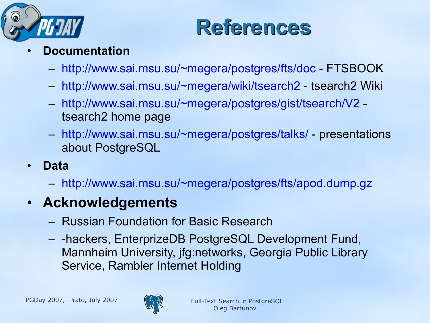



- **Documentation**
	- <http://www.sai.msu.su/~megera/postgres/fts/doc> FTSBOOK
	- <http://www.sai.msu.su/~megera/wiki/tsearch2> tsearch2 Wiki
	- <http://www.sai.msu.su/~megera/postgres/gist/tsearch/V2> tsearch2 home page
	- <http://www.sai.msu.su/~megera/postgres/talks/> presentations about PostgreSQL
- **Data**
	- <http://www.sai.msu.su/~megera/postgres/fts/apod.dump.gz>
- **Acknowledgements**
	- Russian Foundation for Basic Research
	- -hackers, EnterprizeDB PostgreSQL Development Fund, Mannheim University, jfg:networks, Georgia Public Library Service, Rambler Internet Holding

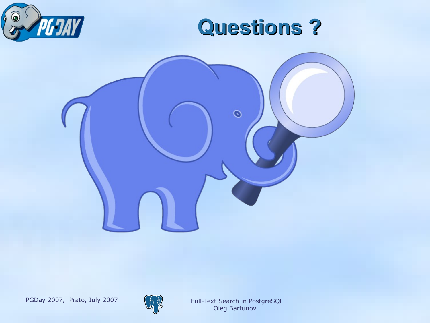







Oleg Bartunov